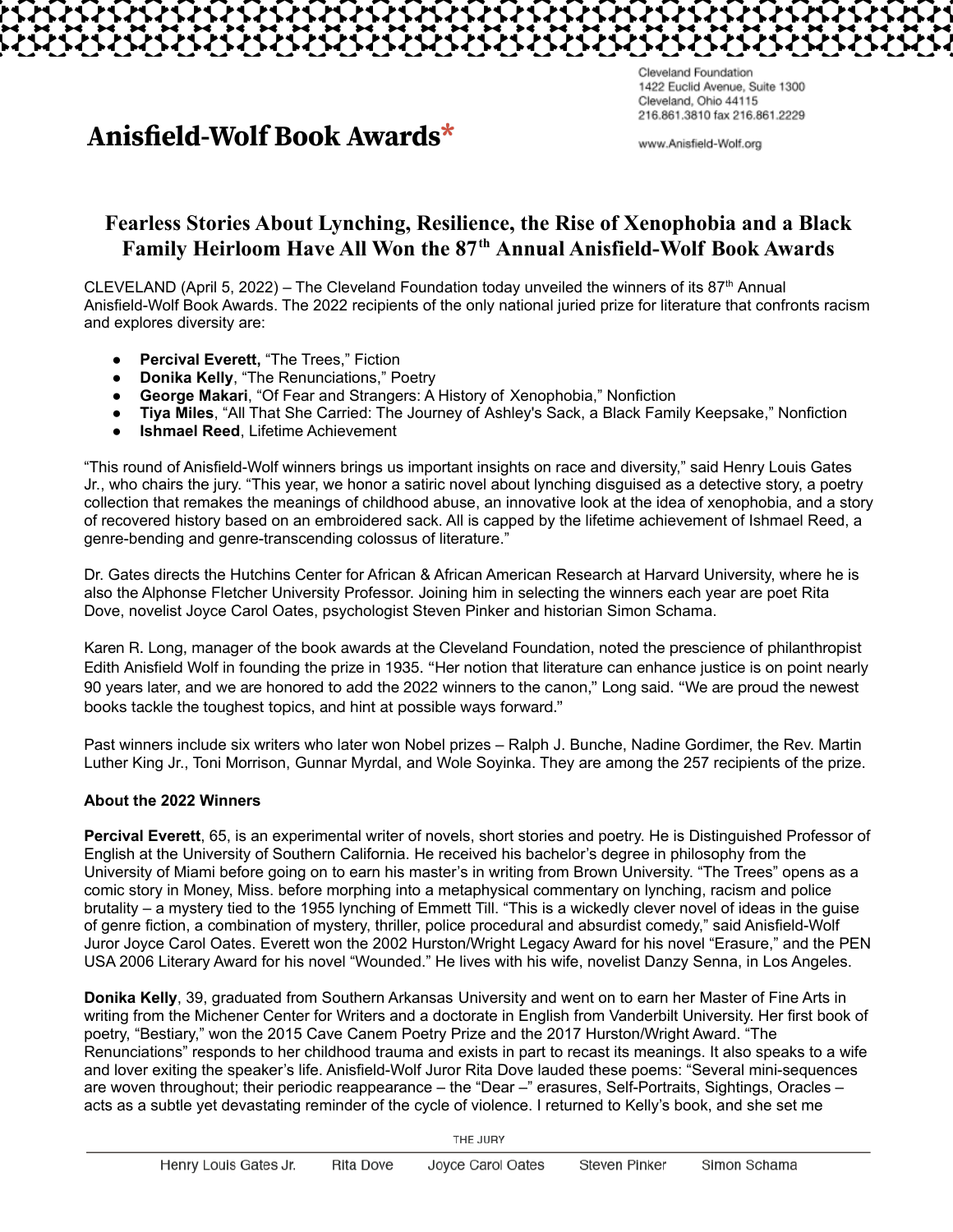Cleveland Foundation 1422 Euclid Avenue, Suite 1300 Cleveland, Ohio 44115 216.861.3810 fax 216.861.2229

# Anisfield-Wolf Book Awards\*

www.Anisfield-Wolf.org

# **Fearless Stories About Lynching, Resilience, the Rise of Xenophobia and a Black Family Heirloom Have All Won the 87 th Annual Anisfield-Wolf Book Awards**

CLEVELAND (April 5, 2022) – The Cleveland Foundation today unveiled the winners of its 87<sup>th</sup> Annual Anisfield-Wolf Book Awards. The 2022 recipients of the only national juried prize for literature that confronts racism and explores diversity are:

- **● Percival Everett,** "The Trees," Fiction
- *●* **Donika Kelly**, "The Renunciations," Poetry
- **● George Makari**, "Of Fear and Strangers: A History of Xenophobia," Nonfiction
- **● Tiya Miles**, "All That She Carried: The Journey of Ashley's Sack, a Black Family Keepsake," Nonfiction
- **● Ishmael Reed**, Lifetime Achievement

"This round of Anisfield-Wolf winners brings us important insights on race and diversity," said Henry Louis Gates Jr., who chairs the jury. "This year, we honor a satiric novel about lynching disguised as a detective story, a poetry collection that remakes the meanings of childhood abuse, an innovative look at the idea of xenophobia, and a story of recovered history based on an embroidered sack. All is capped by the lifetime achievement of Ishmael Reed, a genre-bending and genre-transcending colossus of literature."

Dr. Gates directs the Hutchins Center for African & African American Research at Harvard University, where he is also the Alphonse Fletcher University Professor. Joining him in selecting the winners each year are poet Rita Dove, novelist Joyce Carol Oates, psychologist Steven Pinker and historian Simon Schama.

Karen R. Long, manager of the book awards at the Cleveland Foundation, noted the prescience of philanthropist Edith Anisfield Wolf in founding the prize in 1935. "Her notion that literature can enhance justice is on point nearly 90 years later, and we are honored to add the 2022 winners to the canon," Long said. "We are proud the newest books tackle the toughest topics, and hint at possible ways forward."

Past winners include six writers who later won Nobel prizes – Ralph J. Bunche, Nadine Gordimer, the Rev. Martin Luther King Jr., Toni Morrison, Gunnar Myrdal, and Wole Soyinka. They are among the 257 recipients of the prize.

## **About the 2022 Winners**

**Percival Everett**, 65, is an experimental writer of novels, short stories and poetry. He is Distinguished Professor of English at the University of Southern California. He received his bachelor's degree in philosophy from the University of Miami before going on to earn his master's in writing from Brown University. "The Trees" opens as a comic story in Money, Miss. before morphing into a metaphysical commentary on lynching, racism and police brutality – a mystery tied to the 1955 lynching of Emmett Till. "This is a wickedly clever novel of ideas in the guise of genre fiction, a combination of mystery, thriller, police procedural and absurdist comedy," said Anisfield-Wolf Juror Joyce Carol Oates. Everett won the 2002 Hurston/Wright Legacy Award for his novel "Erasure," and the PEN USA 2006 Literary Award for his novel "Wounded." He lives with his wife, novelist Danzy Senna, in Los Angeles.

**Donika Kelly**, 39, graduated from Southern Arkansas University and went on to earn her Master of Fine Arts in writing from the Michener Center for Writers and a doctorate in English from Vanderbilt University. Her first book of poetry, "Bestiary," won the 2015 Cave Canem Poetry Prize and the 2017 Hurston/Wright Award. "The Renunciations" responds to her childhood trauma and exists in part to recast its meanings. It also speaks to a wife and lover exiting the speaker's life. Anisfield-Wolf Juror Rita Dove lauded these poems: "Several mini-sequences are woven throughout; their periodic reappearance – the "Dear –" erasures, Self-Portraits, Sightings, Oracles – acts as a subtle yet devastating reminder of the cycle of violence. I returned to Kelly's book, and she set me

THE JURY **Steven Pinker** Henry Louis Gates Jr. **Rita Dove** Joyce Carol Oates Simon Schama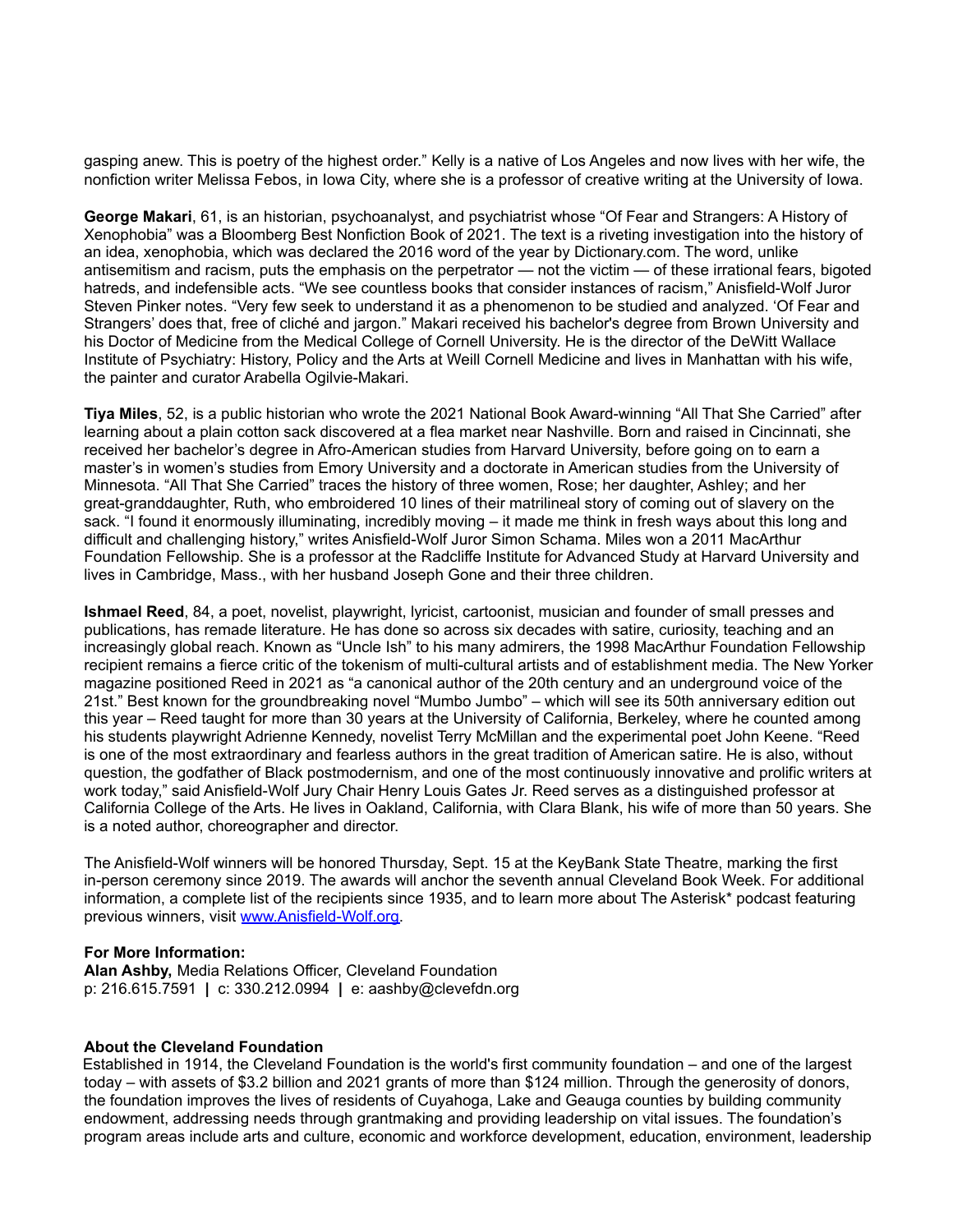gasping anew. This is poetry of the highest order." Kelly is a native of Los Angeles and now lives with her wife, the nonfiction writer Melissa Febos, in Iowa City, where she is a professor of creative writing at the University of Iowa.

**George Makari**, 61, is an historian, psychoanalyst, and psychiatrist whose "Of Fear and Strangers: A History of Xenophobia" was a Bloomberg Best Nonfiction Book of 2021. The text is a riveting investigation into the history of an idea, xenophobia, which was declared the 2016 word of the year by Dictionary.com. The word, unlike antisemitism and racism, puts the emphasis on the perpetrator — not the victim — of these irrational fears, bigoted hatreds, and indefensible acts. "We see countless books that consider instances of racism," Anisfield-Wolf Juror Steven Pinker notes. "Very few seek to understand it as a phenomenon to be studied and analyzed. 'Of Fear and Strangers' does that, free of cliché and jargon." Makari received his bachelor's degree from Brown University and his Doctor of Medicine from the Medical College of Cornell University. He is the director of the DeWitt Wallace Institute of Psychiatry: History, Policy and the Arts at Weill Cornell Medicine and lives in Manhattan with his wife, the painter and curator Arabella Ogilvie-Makari.

**Tiya Miles**, 52, is a public historian who wrote the 2021 National Book Award-winning "All That She Carried" after learning about a plain cotton sack discovered at a flea market near Nashville. Born and raised in Cincinnati, she received her bachelor's degree in Afro-American studies from Harvard University, before going on to earn a master's in women's studies from Emory University and a doctorate in American studies from the University of Minnesota. "All That She Carried" traces the history of three women, Rose; her daughter, Ashley; and her great-granddaughter, Ruth, who embroidered 10 lines of their matrilineal story of coming out of slavery on the sack. "I found it enormously illuminating, incredibly moving – it made me think in fresh ways about this long and difficult and challenging history," writes Anisfield-Wolf Juror Simon Schama. Miles won a 2011 MacArthur Foundation Fellowship. She is a professor at the Radcliffe Institute for Advanced Study at Harvard University and lives in Cambridge, Mass., with her husband Joseph Gone and their three children.

**Ishmael Reed**, 84, a poet, novelist, playwright, lyricist, cartoonist, musician and founder of small presses and publications, has remade literature. He has done so across six decades with satire, curiosity, teaching and an increasingly global reach. Known as "Uncle Ish" to his many admirers, the 1998 MacArthur Foundation Fellowship recipient remains a fierce critic of the tokenism of multi-cultural artists and of establishment media. The New Yorker magazine positioned Reed in 2021 as "a canonical author of the 20th century and an underground voice of the 21st." Best known for the groundbreaking novel "Mumbo Jumbo" – which will see its 50th anniversary edition out this year – Reed taught for more than 30 years at the University of California, Berkeley, where he counted among his students playwright Adrienne Kennedy, novelist Terry McMillan and the experimental poet John Keene. "Reed is one of the most extraordinary and fearless authors in the great tradition of American satire. He is also, without question, the godfather of Black postmodernism, and one of the most continuously innovative and prolific writers at work today," said Anisfield-Wolf Jury Chair Henry Louis Gates Jr. Reed serves as a distinguished professor at California College of the Arts. He lives in Oakland, California, with Clara Blank, his wife of more than 50 years. She is a noted author, choreographer and director.

The Anisfield-Wolf winners will be honored Thursday, Sept. 15 at the KeyBank State Theatre, marking the first in-person ceremony since 2019. The awards will anchor the seventh annual Cleveland Book Week. For additional information, a complete list of the recipients since 1935, and to learn more about The Asterisk\* podcast featuring previous winners, visit [www.Anisfield-Wolf.org.](http://www.anisfield-wolf.org)

#### **For More Information:**

**Alan Ashby,** Media Relations Officer, Cleveland Foundation p: 216.615.7591 **|** c: 330.212.0994 **|** e: aashby@clevefdn.org

### **About the Cleveland Foundation**

Established in 1914, the Cleveland Foundation is the world's first community foundation – and one of the largest today – with assets of \$3.2 billion and 2021 grants of more than \$124 million. Through the generosity of donors, the foundation improves the lives of residents of Cuyahoga, Lake and Geauga counties by building community endowment, addressing needs through grantmaking and providing leadership on vital issues. The foundation's program areas include arts and culture, economic and workforce development, education, environment, leadership